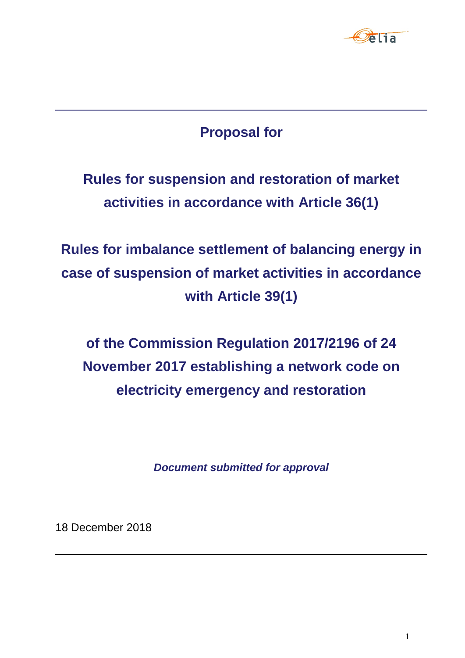

# **Proposal for**

**Rules for suspension and restoration of market activities in accordance with Article 36(1)**

**Rules for imbalance settlement of balancing energy in case of suspension of market activities in accordance with Article 39(1)**

**of the Commission Regulation 2017/2196 of 24 November 2017 establishing a network code on electricity emergency and restoration**

*Document submitted for approval*

18 December 2018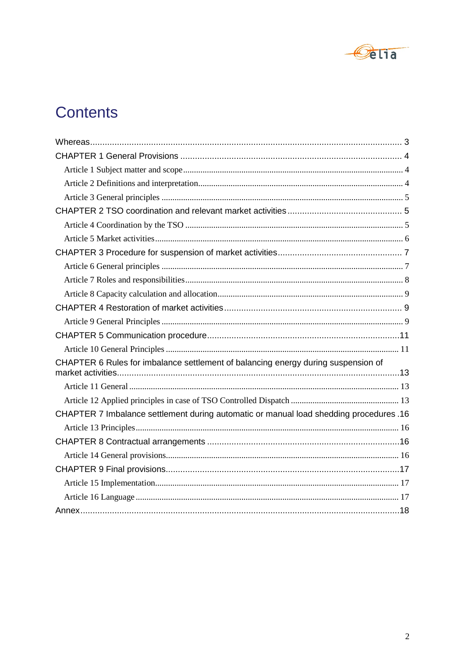

# Contents

| CHAPTER 6 Rules for imbalance settlement of balancing energy during suspension of      |  |
|----------------------------------------------------------------------------------------|--|
|                                                                                        |  |
|                                                                                        |  |
| CHAPTER 7 Imbalance settlement during automatic or manual load shedding procedures .16 |  |
|                                                                                        |  |
|                                                                                        |  |
|                                                                                        |  |
|                                                                                        |  |
|                                                                                        |  |
|                                                                                        |  |
|                                                                                        |  |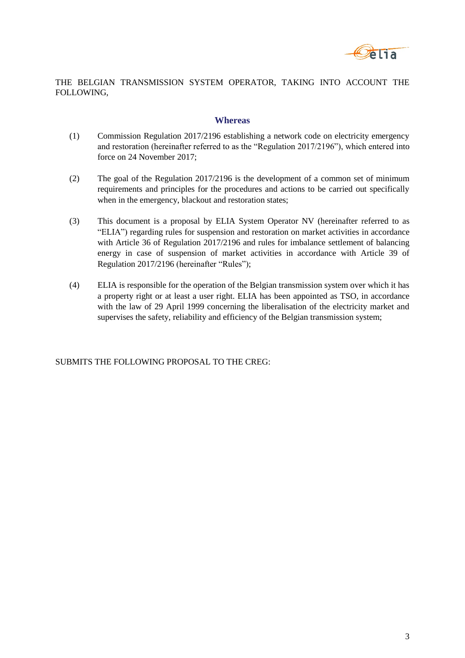

<span id="page-2-0"></span>THE BELGIAN TRANSMISSION SYSTEM OPERATOR, TAKING INTO ACCOUNT THE FOLLOWING,

#### **Whereas**

- (1) Commission Regulation 2017/2196 establishing a network code on electricity emergency and restoration (hereinafter referred to as the "Regulation 2017/2196"), which entered into force on 24 November 2017;
- (2) The goal of the Regulation 2017/2196 is the development of a common set of minimum requirements and principles for the procedures and actions to be carried out specifically when in the emergency, blackout and restoration states;
- (3) This document is a proposal by ELIA System Operator NV (hereinafter referred to as "ELIA") regarding rules for suspension and restoration on market activities in accordance with Article 36 of Regulation 2017/2196 and rules for imbalance settlement of balancing energy in case of suspension of market activities in accordance with Article 39 of Regulation 2017/2196 (hereinafter "Rules");
- (4) ELIA is responsible for the operation of the Belgian transmission system over which it has a property right or at least a user right. ELIA has been appointed as TSO, in accordance with the law of 29 April 1999 concerning the liberalisation of the electricity market and supervises the safety, reliability and efficiency of the Belgian transmission system;

SUBMITS THE FOLLOWING PROPOSAL TO THE CREG: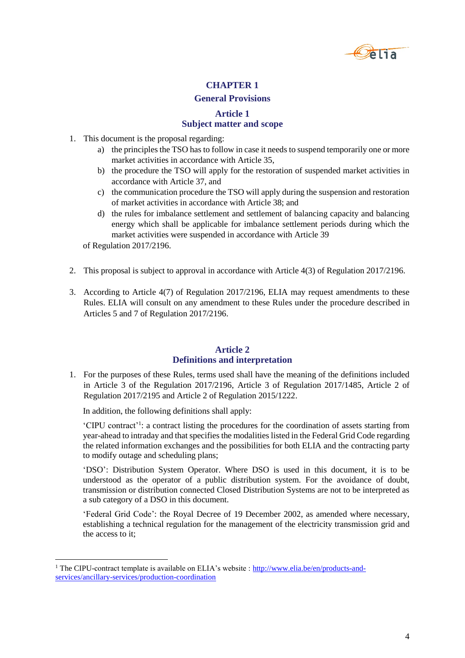

# **General Provisions**

#### **Article 1 Subject matter and scope**

- <span id="page-3-1"></span><span id="page-3-0"></span>1. This document is the proposal regarding:
	- a) the principles the TSO has to follow in case it needs to suspend temporarily one or more market activities in accordance with Article 35,
	- b) the procedure the TSO will apply for the restoration of suspended market activities in accordance with Article 37, and
	- c) the communication procedure the TSO will apply during the suspension and restoration of market activities in accordance with Article 38; and
	- d) the rules for imbalance settlement and settlement of balancing capacity and balancing energy which shall be applicable for imbalance settlement periods during which the market activities were suspended in accordance with Article 39

of Regulation 2017/2196.

l

- 2. This proposal is subject to approval in accordance with Article 4(3) of Regulation 2017/2196.
- 3. According to Article 4(7) of Regulation 2017/2196, ELIA may request amendments to these Rules. ELIA will consult on any amendment to these Rules under the procedure described in Articles 5 and 7 of Regulation 2017/2196.

#### **Article 2 Definitions and interpretation**

<span id="page-3-2"></span>1. For the purposes of these Rules, terms used shall have the meaning of the definitions included in Article 3 of the Regulation 2017/2196, Article 3 of Regulation 2017/1485, Article 2 of Regulation 2017/2195 and Article 2 of Regulation 2015/1222.

In addition, the following definitions shall apply:

'CIPU contract'<sup>1</sup> : a contract listing the procedures for the coordination of assets starting from year-ahead to intraday and that specifies the modalities listed in the Federal Grid Code regarding the related information exchanges and the possibilities for both ELIA and the contracting party to modify outage and scheduling plans;

'DSO': Distribution System Operator. Where DSO is used in this document, it is to be understood as the operator of a public distribution system. For the avoidance of doubt, transmission or distribution connected Closed Distribution Systems are not to be interpreted as a sub category of a DSO in this document.

'Federal Grid Code': the Royal Decree of 19 December 2002, as amended where necessary, establishing a technical regulation for the management of the electricity transmission grid and the access to it;

<sup>&</sup>lt;sup>1</sup> The CIPU-contract template is available on ELIA's website : [http://www.elia.be/en/products-and](http://www.elia.be/en/products-and-services/ancillary-services/production-coordination)[services/ancillary-services/production-coordination](http://www.elia.be/en/products-and-services/ancillary-services/production-coordination)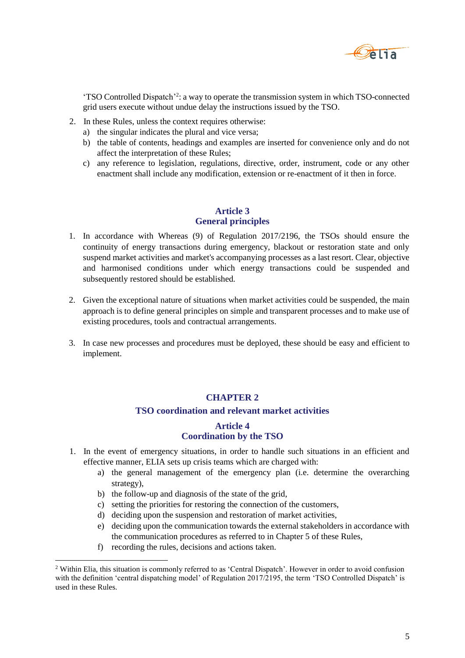

'TSO Controlled Dispatch'<sup>2</sup> : a way to operate the transmission system in which TSO-connected grid users execute without undue delay the instructions issued by the TSO.

- 2. In these Rules, unless the context requires otherwise:
	- a) the singular indicates the plural and vice versa;
	- b) the table of contents, headings and examples are inserted for convenience only and do not affect the interpretation of these Rules;
	- c) any reference to legislation, regulations, directive, order, instrument, code or any other enactment shall include any modification, extension or re-enactment of it then in force.

#### **Article 3 General principles**

- <span id="page-4-0"></span>1. In accordance with Whereas (9) of Regulation 2017/2196, the TSOs should ensure the continuity of energy transactions during emergency, blackout or restoration state and only suspend market activities and market's accompanying processes as a last resort. Clear, objective and harmonised conditions under which energy transactions could be suspended and subsequently restored should be established.
- 2. Given the exceptional nature of situations when market activities could be suspended, the main approach is to define general principles on simple and transparent processes and to make use of existing procedures, tools and contractual arrangements.
- <span id="page-4-1"></span>3. In case new processes and procedures must be deployed, these should be easy and efficient to implement.

# **CHAPTER 2**

# **TSO coordination and relevant market activities**

# **Article 4 Coordination by the TSO**

- <span id="page-4-2"></span>1. In the event of emergency situations, in order to handle such situations in an efficient and effective manner, ELIA sets up crisis teams which are charged with:
	- a) the general management of the emergency plan (i.e. determine the overarching strategy),
	- b) the follow-up and diagnosis of the state of the grid,
	- c) setting the priorities for restoring the connection of the customers,
	- d) deciding upon the suspension and restoration of market activities,
	- e) deciding upon the communication towards the external stakeholders in accordance with the communication procedures as referred to in Chapter 5 of these Rules,
	- f) recording the rules, decisions and actions taken.

l

<sup>2</sup> Within Elia, this situation is commonly referred to as 'Central Dispatch'. However in order to avoid confusion with the definition 'central dispatching model' of Regulation 2017/2195, the term 'TSO Controlled Dispatch' is used in these Rules.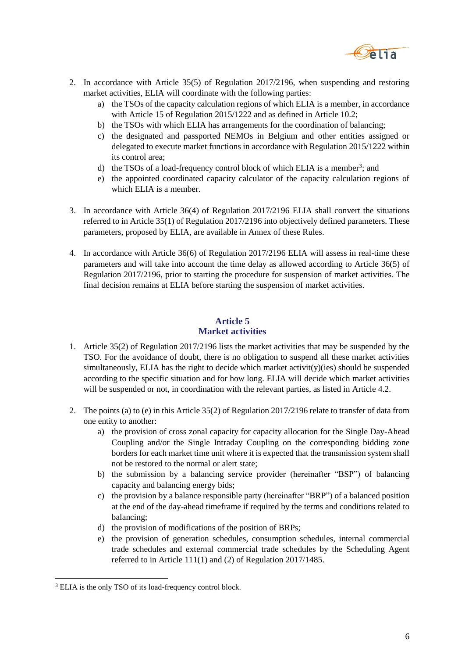

- 2. In accordance with Article 35(5) of Regulation 2017/2196, when suspending and restoring market activities, ELIA will coordinate with the following parties:
	- a) the TSOs of the capacity calculation regions of which ELIA is a member, in accordance with Article 15 of Regulation 2015/1222 and as defined in Article 10.2;
	- b) the TSOs with which ELIA has arrangements for the coordination of balancing;
	- c) the designated and passported NEMOs in Belgium and other entities assigned or delegated to execute market functions in accordance with Regulation 2015/1222 within its control area;
	- d) the TSOs of a load-frequency control block of which ELIA is a member<sup>3</sup>; and
	- e) the appointed coordinated capacity calculator of the capacity calculation regions of which ELIA is a member.
- 3. In accordance with Article 36(4) of Regulation 2017/2196 ELIA shall convert the situations referred to in Article 35(1) of Regulation 2017/2196 into objectively defined parameters. These parameters, proposed by ELIA, are available in Annex of these Rules.
- 4. In accordance with Article 36(6) of Regulation 2017/2196 ELIA will assess in real-time these parameters and will take into account the time delay as allowed according to Article 36(5) of Regulation 2017/2196, prior to starting the procedure for suspension of market activities. The final decision remains at ELIA before starting the suspension of market activities.

# **Article 5 Market activities**

- <span id="page-5-0"></span>1. Article 35(2) of Regulation 2017/2196 lists the market activities that may be suspended by the TSO. For the avoidance of doubt, there is no obligation to suspend all these market activities simultaneously, ELIA has the right to decide which market activity)(ies) should be suspended according to the specific situation and for how long. ELIA will decide which market activities will be suspended or not, in coordination with the relevant parties, as listed in Article 4.2.
- 2. The points (a) to (e) in this Article 35(2) of Regulation 2017/2196 relate to transfer of data from one entity to another:
	- a) the provision of cross zonal capacity for capacity allocation for the Single Day-Ahead Coupling and/or the Single Intraday Coupling on the corresponding bidding zone borders for each market time unit where it is expected that the transmission system shall not be restored to the normal or alert state;
	- b) the submission by a balancing service provider (hereinafter "BSP") of balancing capacity and balancing energy bids;
	- c) the provision by a balance responsible party (hereinafter "BRP") of a balanced position at the end of the day-ahead timeframe if required by the terms and conditions related to balancing;
	- d) the provision of modifications of the position of BRPs;
	- e) the provision of generation schedules, consumption schedules, internal commercial trade schedules and external commercial trade schedules by the Scheduling Agent referred to in Article 111(1) and (2) of Regulation 2017/1485.

 $\overline{a}$ 

<sup>&</sup>lt;sup>3</sup> ELIA is the only TSO of its load-frequency control block.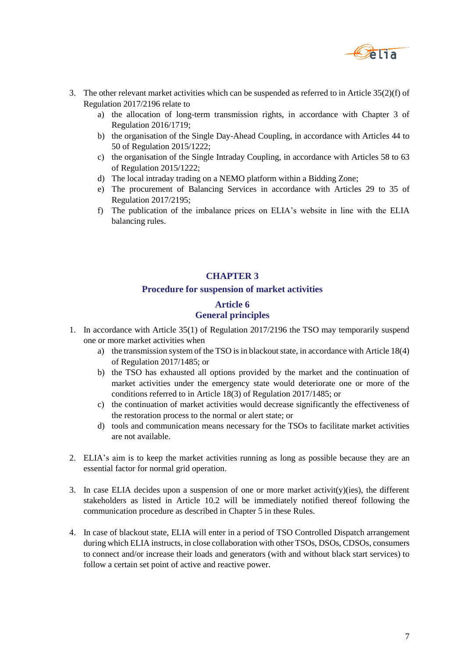

- 3. The other relevant market activities which can be suspended as referred to in Article 35(2)(f) of Regulation 2017/2196 relate to
	- a) the allocation of long-term transmission rights, in accordance with Chapter 3 of Regulation 2016/1719;
	- b) the organisation of the Single Day-Ahead Coupling, in accordance with Articles 44 to 50 of Regulation 2015/1222;
	- c) the organisation of the Single Intraday Coupling, in accordance with Articles 58 to 63 of Regulation 2015/1222;
	- d) The local intraday trading on a NEMO platform within a Bidding Zone;
	- e) The procurement of Balancing Services in accordance with Articles 29 to 35 of Regulation 2017/2195;
	- f) The publication of the imbalance prices on ELIA's website in line with the ELIA balancing rules.

#### **Procedure for suspension of market activities**

# **Article 6 General principles**

- <span id="page-6-1"></span><span id="page-6-0"></span>1. In accordance with Article 35(1) of Regulation 2017/2196 the TSO may temporarily suspend one or more market activities when
	- a) the transmission system of the TSO is in blackout state, in accordance with Article 18(4) of Regulation 2017/1485; or
	- b) the TSO has exhausted all options provided by the market and the continuation of market activities under the emergency state would deteriorate one or more of the conditions referred to in Article 18(3) of Regulation 2017/1485; or
	- c) the continuation of market activities would decrease significantly the effectiveness of the restoration process to the normal or alert state; or
	- d) tools and communication means necessary for the TSOs to facilitate market activities are not available.
- 2. ELIA's aim is to keep the market activities running as long as possible because they are an essential factor for normal grid operation.
- 3. In case ELIA decides upon a suspension of one or more market activity)(ies), the different stakeholders as listed in Article 10.2 will be immediately notified thereof following the communication procedure as described in Chapter 5 in these Rules.
- 4. In case of blackout state, ELIA will enter in a period of TSO Controlled Dispatch arrangement during which ELIA instructs, in close collaboration with other TSOs, DSOs, CDSOs, consumers to connect and/or increase their loads and generators (with and without black start services) to follow a certain set point of active and reactive power.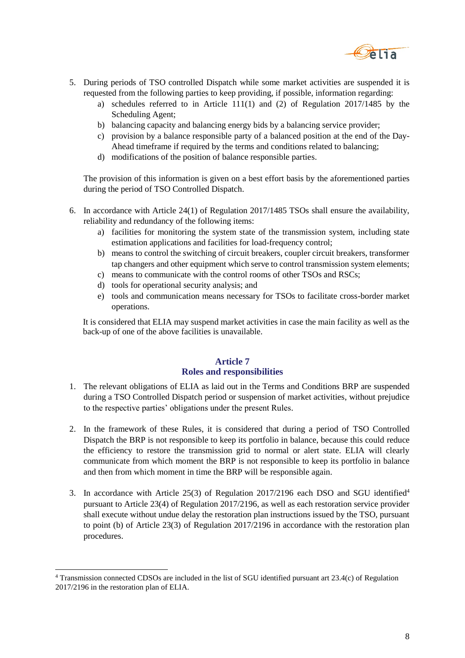

- 5. During periods of TSO controlled Dispatch while some market activities are suspended it is requested from the following parties to keep providing, if possible, information regarding:
	- a) schedules referred to in Article 111(1) and (2) of Regulation 2017/1485 by the Scheduling Agent;
	- b) balancing capacity and balancing energy bids by a balancing service provider;
	- c) provision by a balance responsible party of a balanced position at the end of the Day-Ahead timeframe if required by the terms and conditions related to balancing;
	- d) modifications of the position of balance responsible parties.

The provision of this information is given on a best effort basis by the aforementioned parties during the period of TSO Controlled Dispatch.

- 6. In accordance with Article 24(1) of Regulation 2017/1485 TSOs shall ensure the availability, reliability and redundancy of the following items:
	- a) facilities for monitoring the system state of the transmission system, including state estimation applications and facilities for load-frequency control;
	- b) means to control the switching of circuit breakers, coupler circuit breakers, transformer tap changers and other equipment which serve to control transmission system elements;
	- c) means to communicate with the control rooms of other TSOs and RSCs;
	- d) tools for operational security analysis; and
	- e) tools and communication means necessary for TSOs to facilitate cross-border market operations.

It is considered that ELIA may suspend market activities in case the main facility as well as the back-up of one of the above facilities is unavailable.

# **Article 7 Roles and responsibilities**

- <span id="page-7-0"></span>1. The relevant obligations of ELIA as laid out in the Terms and Conditions BRP are suspended during a TSO Controlled Dispatch period or suspension of market activities, without prejudice to the respective parties' obligations under the present Rules.
- 2. In the framework of these Rules, it is considered that during a period of TSO Controlled Dispatch the BRP is not responsible to keep its portfolio in balance, because this could reduce the efficiency to restore the transmission grid to normal or alert state. ELIA will clearly communicate from which moment the BRP is not responsible to keep its portfolio in balance and then from which moment in time the BRP will be responsible again.
- 3. In accordance with Article 25(3) of Regulation 2017/2196 each DSO and SGU identified<sup>4</sup> pursuant to Article 23(4) of Regulation 2017/2196, as well as each restoration service provider shall execute without undue delay the restoration plan instructions issued by the TSO, pursuant to point (b) of Article 23(3) of Regulation 2017/2196 in accordance with the restoration plan procedures.

l

<sup>4</sup> Transmission connected CDSOs are included in the list of SGU identified pursuant art 23.4(c) of Regulation 2017/2196 in the restoration plan of ELIA.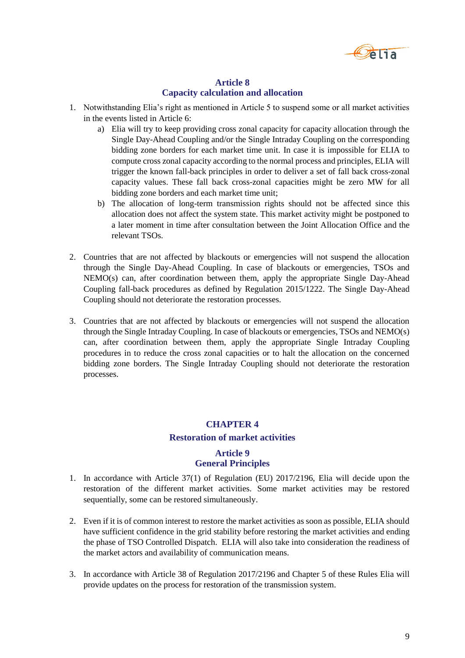

#### **Article 8 Capacity calculation and allocation**

- <span id="page-8-0"></span>1. Notwithstanding Elia's right as mentioned in Article 5 to suspend some or all market activities in the events listed in Article 6:
	- a) Elia will try to keep providing cross zonal capacity for capacity allocation through the Single Day-Ahead Coupling and/or the Single Intraday Coupling on the corresponding bidding zone borders for each market time unit. In case it is impossible for ELIA to compute cross zonal capacity according to the normal process and principles, ELIA will trigger the known fall-back principles in order to deliver a set of fall back cross-zonal capacity values. These fall back cross-zonal capacities might be zero MW for all bidding zone borders and each market time unit;
	- b) The allocation of long-term transmission rights should not be affected since this allocation does not affect the system state. This market activity might be postponed to a later moment in time after consultation between the Joint Allocation Office and the relevant TSOs.
- 2. Countries that are not affected by blackouts or emergencies will not suspend the allocation through the Single Day-Ahead Coupling. In case of blackouts or emergencies, TSOs and  $NEMO(s)$  can, after coordination between them, apply the appropriate Single Day-Ahead Coupling fall-back procedures as defined by Regulation 2015/1222. The Single Day-Ahead Coupling should not deteriorate the restoration processes.
- 3. Countries that are not affected by blackouts or emergencies will not suspend the allocation through the Single Intraday Coupling. In case of blackouts or emergencies, TSOs and NEMO(s) can, after coordination between them, apply the appropriate Single Intraday Coupling procedures in to reduce the cross zonal capacities or to halt the allocation on the concerned bidding zone borders. The Single Intraday Coupling should not deteriorate the restoration processes.

# **CHAPTER 4 Restoration of market activities**

#### **Article 9 General Principles**

- <span id="page-8-2"></span><span id="page-8-1"></span>1. In accordance with Article 37(1) of Regulation (EU) 2017/2196, Elia will decide upon the restoration of the different market activities. Some market activities may be restored sequentially, some can be restored simultaneously.
- 2. Even if it is of common interest to restore the market activities as soon as possible, ELIA should have sufficient confidence in the grid stability before restoring the market activities and ending the phase of TSO Controlled Dispatch. ELIA will also take into consideration the readiness of the market actors and availability of communication means.
- 3. In accordance with Article 38 of Regulation 2017/2196 and Chapter 5 of these Rules Elia will provide updates on the process for restoration of the transmission system.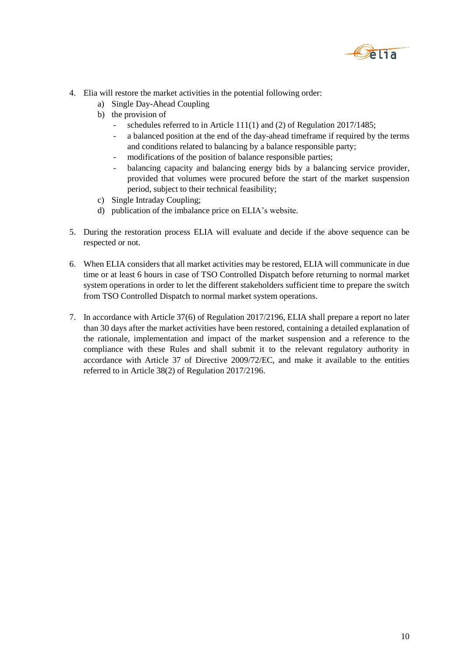

- 4. Elia will restore the market activities in the potential following order:
	- a) Single Day-Ahead Coupling
	- b) the provision of
		- schedules referred to in Article 111(1) and (2) of Regulation 2017/1485;
		- a balanced position at the end of the day-ahead timeframe if required by the terms and conditions related to balancing by a balance responsible party;
		- modifications of the position of balance responsible parties;
		- balancing capacity and balancing energy bids by a balancing service provider, provided that volumes were procured before the start of the market suspension period, subject to their technical feasibility;
	- c) Single Intraday Coupling;
	- d) publication of the imbalance price on ELIA's website.
- 5. During the restoration process ELIA will evaluate and decide if the above sequence can be respected or not.
- 6. When ELIA considers that all market activities may be restored, ELIA will communicate in due time or at least 6 hours in case of TSO Controlled Dispatch before returning to normal market system operations in order to let the different stakeholders sufficient time to prepare the switch from TSO Controlled Dispatch to normal market system operations.
- 7. In accordance with Article 37(6) of Regulation 2017/2196, ELIA shall prepare a report no later than 30 days after the market activities have been restored, containing a detailed explanation of the rationale, implementation and impact of the market suspension and a reference to the compliance with these Rules and shall submit it to the relevant regulatory authority in accordance with Article 37 of Directive 2009/72/EC, and make it available to the entities referred to in Article 38(2) of Regulation 2017/2196.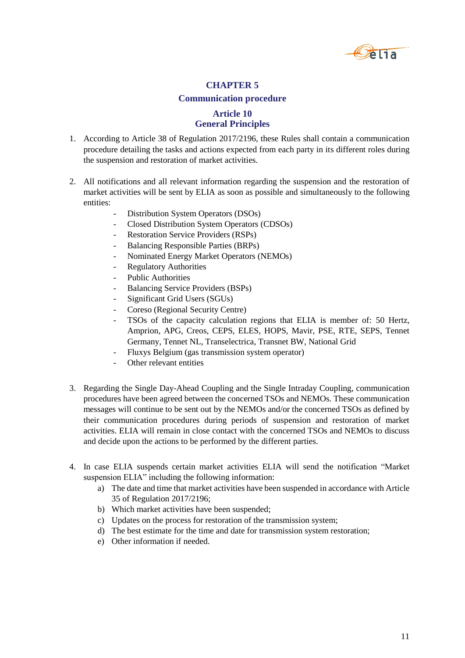

#### **Communication procedure**

# **Article 10 General Principles**

- <span id="page-10-1"></span><span id="page-10-0"></span>1. According to Article 38 of Regulation 2017/2196, these Rules shall contain a communication procedure detailing the tasks and actions expected from each party in its different roles during the suspension and restoration of market activities.
- 2. All notifications and all relevant information regarding the suspension and the restoration of market activities will be sent by ELIA as soon as possible and simultaneously to the following entities:
	- Distribution System Operators (DSOs)
	- Closed Distribution System Operators (CDSOs)
	- Restoration Service Providers (RSPs)
	- Balancing Responsible Parties (BRPs)
	- Nominated Energy Market Operators (NEMOs)
	- **Regulatory Authorities**
	- Public Authorities
	- Balancing Service Providers (BSPs)
	- Significant Grid Users (SGUs)
	- Coreso (Regional Security Centre)
	- TSOs of the capacity calculation regions that ELIA is member of: 50 Hertz, Amprion, APG, Creos, CEPS, ELES, HOPS, Mavir, PSE, RTE, SEPS, Tennet Germany, Tennet NL, Transelectrica, Transnet BW, National Grid
	- Fluxys Belgium (gas transmission system operator)
	- Other relevant entities
- 3. Regarding the Single Day-Ahead Coupling and the Single Intraday Coupling, communication procedures have been agreed between the concerned TSOs and NEMOs. These communication messages will continue to be sent out by the NEMOs and/or the concerned TSOs as defined by their communication procedures during periods of suspension and restoration of market activities. ELIA will remain in close contact with the concerned TSOs and NEMOs to discuss and decide upon the actions to be performed by the different parties.
- 4. In case ELIA suspends certain market activities ELIA will send the notification "Market suspension ELIA" including the following information:
	- a) The date and time that market activities have been suspended in accordance with Article 35 of Regulation 2017/2196;
	- b) Which market activities have been suspended;
	- c) Updates on the process for restoration of the transmission system;
	- d) The best estimate for the time and date for transmission system restoration;
	- e) Other information if needed.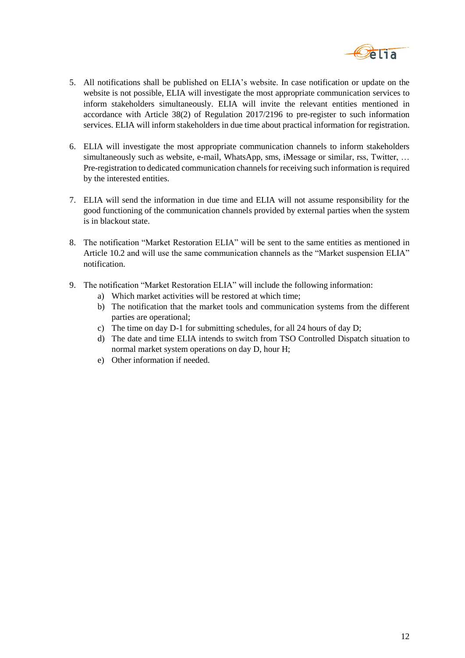

- 5. All notifications shall be published on ELIA's website. In case notification or update on the website is not possible, ELIA will investigate the most appropriate communication services to inform stakeholders simultaneously. ELIA will invite the relevant entities mentioned in accordance with Article 38(2) of Regulation 2017/2196 to pre-register to such information services. ELIA will inform stakeholders in due time about practical information for registration.
- 6. ELIA will investigate the most appropriate communication channels to inform stakeholders simultaneously such as website, e-mail, WhatsApp, sms, iMessage or similar, rss, Twitter, ... Pre-registration to dedicated communication channels for receiving such information is required by the interested entities.
- 7. ELIA will send the information in due time and ELIA will not assume responsibility for the good functioning of the communication channels provided by external parties when the system is in blackout state.
- 8. The notification "Market Restoration ELIA" will be sent to the same entities as mentioned in Article 10.2 and will use the same communication channels as the "Market suspension ELIA" notification.
- 9. The notification "Market Restoration ELIA" will include the following information:
	- a) Which market activities will be restored at which time;
	- b) The notification that the market tools and communication systems from the different parties are operational;
	- c) The time on day D-1 for submitting schedules, for all 24 hours of day D;
	- d) The date and time ELIA intends to switch from TSO Controlled Dispatch situation to normal market system operations on day D, hour H;
	- e) Other information if needed.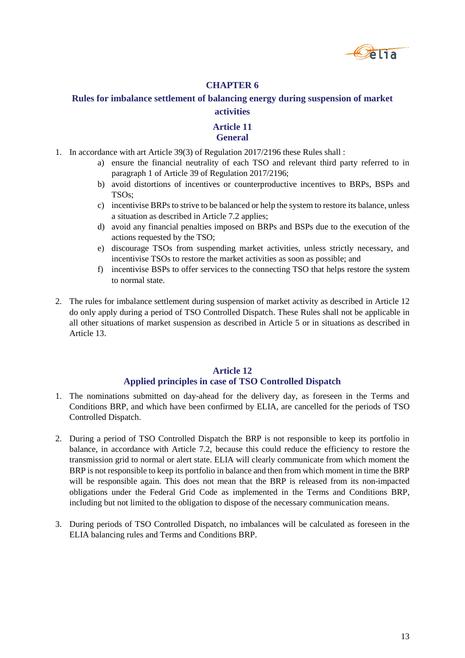

# <span id="page-12-0"></span>**Rules for imbalance settlement of balancing energy during suspension of market activities**

# **Article 11 General**

- <span id="page-12-1"></span>1. In accordance with art Article 39(3) of Regulation 2017/2196 these Rules shall :
	- a) ensure the financial neutrality of each TSO and relevant third party referred to in paragraph 1 of Article 39 of Regulation 2017/2196;
	- b) avoid distortions of incentives or counterproductive incentives to BRPs, BSPs and TSOs;
	- c) incentivise BRPs to strive to be balanced or help the system to restore its balance, unless a situation as described in Article 7.2 applies;
	- d) avoid any financial penalties imposed on BRPs and BSPs due to the execution of the actions requested by the TSO;
	- e) discourage TSOs from suspending market activities, unless strictly necessary, and incentivise TSOs to restore the market activities as soon as possible; and
	- f) incentivise BSPs to offer services to the connecting TSO that helps restore the system to normal state.
- 2. The rules for imbalance settlement during suspension of market activity as described in Article 12 do only apply during a period of TSO Controlled Dispatch. These Rules shall not be applicable in all other situations of market suspension as described in Article 5 or in situations as described in Article 13.

# **Article 12 Applied principles in case of TSO Controlled Dispatch**

- <span id="page-12-2"></span>1. The nominations submitted on day-ahead for the delivery day, as foreseen in the Terms and Conditions BRP, and which have been confirmed by ELIA, are cancelled for the periods of TSO Controlled Dispatch.
- 2. During a period of TSO Controlled Dispatch the BRP is not responsible to keep its portfolio in balance, in accordance with Article 7.2, because this could reduce the efficiency to restore the transmission grid to normal or alert state. ELIA will clearly communicate from which moment the BRP is not responsible to keep its portfolio in balance and then from which moment in time the BRP will be responsible again. This does not mean that the BRP is released from its non-impacted obligations under the Federal Grid Code as implemented in the Terms and Conditions BRP, including but not limited to the obligation to dispose of the necessary communication means.
- 3. During periods of TSO Controlled Dispatch, no imbalances will be calculated as foreseen in the ELIA balancing rules and Terms and Conditions BRP.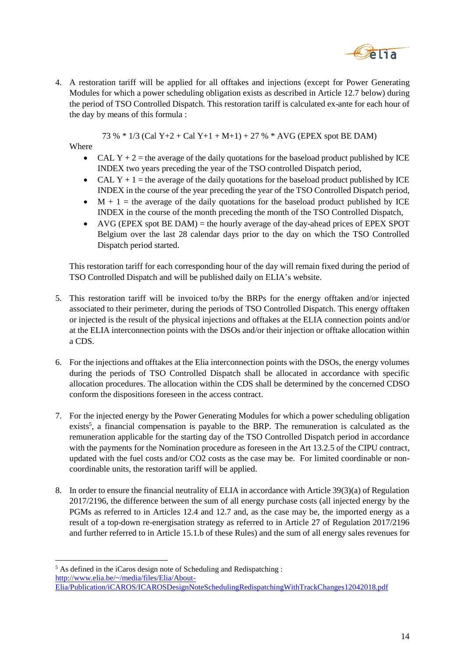

4. A restoration tariff will be applied for all offtakes and injections (except for Power Generating Modules for which a power scheduling obligation exists as described in Article 12.7 below) during the period of TSO Controlled Dispatch. This restoration tariff is calculated ex-ante for each hour of the day by means of this formula :

73 % \* 1/3 (Cal Y+2 + Cal Y+1 + M+1) + 27 % \* AVG (EPEX spot BE DAM)

Where

l

- CAL Y + 2 = the average of the daily quotations for the baseload product published by ICE INDEX two years preceding the year of the TSO controlled Dispatch period,
- CAL Y + 1 = the average of the daily quotations for the baseload product published by ICE INDEX in the course of the year preceding the year of the TSO Controlled Dispatch period,
- $M + 1$  = the average of the daily quotations for the baseload product published by ICE INDEX in the course of the month preceding the month of the TSO Controlled Dispatch,
- $\bullet$  AVG (EPEX spot BE DAM) = the hourly average of the day-ahead prices of EPEX SPOT Belgium over the last 28 calendar days prior to the day on which the TSO Controlled Dispatch period started.

This restoration tariff for each corresponding hour of the day will remain fixed during the period of TSO Controlled Dispatch and will be published daily on ELIA's website.

- 5. This restoration tariff will be invoiced to/by the BRPs for the energy offtaken and/or injected associated to their perimeter, during the periods of TSO Controlled Dispatch. This energy offtaken or injected is the result of the physical injections and offtakes at the ELIA connection points and/or at the ELIA interconnection points with the DSOs and/or their injection or offtake allocation within a CDS.
- 6. For the injections and offtakes at the Elia interconnection points with the DSOs, the energy volumes during the periods of TSO Controlled Dispatch shall be allocated in accordance with specific allocation procedures. The allocation within the CDS shall be determined by the concerned CDSO conform the dispositions foreseen in the access contract.
- 7. For the injected energy by the Power Generating Modules for which a power scheduling obligation exists<sup>5</sup>, a financial compensation is payable to the BRP. The remuneration is calculated as the remuneration applicable for the starting day of the TSO Controlled Dispatch period in accordance with the payments for the Nomination procedure as foreseen in the Art 13.2.5 of the CIPU contract, updated with the fuel costs and/or CO2 costs as the case may be. For limited coordinable or noncoordinable units, the restoration tariff will be applied.
- 8. In order to ensure the financial neutrality of ELIA in accordance with Article 39(3)(a) of Regulation 2017/2196, the difference between the sum of all energy purchase costs (all injected energy by the PGMs as referred to in Articles 12.4 and 12.7 and, as the case may be, the imported energy as a result of a top-down re-energisation strategy as referred to in Article 27 of Regulation 2017/2196 and further referred to in Article 15.1.b of these Rules) and the sum of all energy sales revenues for

<sup>5</sup> As defined in the iCaros design note of Scheduling and Redispatching : [http://www.elia.be/~/media/files/Elia/About-](http://www.elia.be/~/media/files/Elia/About-Elia/Publication/iCAROS/ICAROSDesignNoteSchedulingRedispatchingWithTrackChanges12042018.pdf)[Elia/Publication/iCAROS/ICAROSDesignNoteSchedulingRedispatchingWithTrackChanges12042018.pdf](http://www.elia.be/~/media/files/Elia/About-Elia/Publication/iCAROS/ICAROSDesignNoteSchedulingRedispatchingWithTrackChanges12042018.pdf)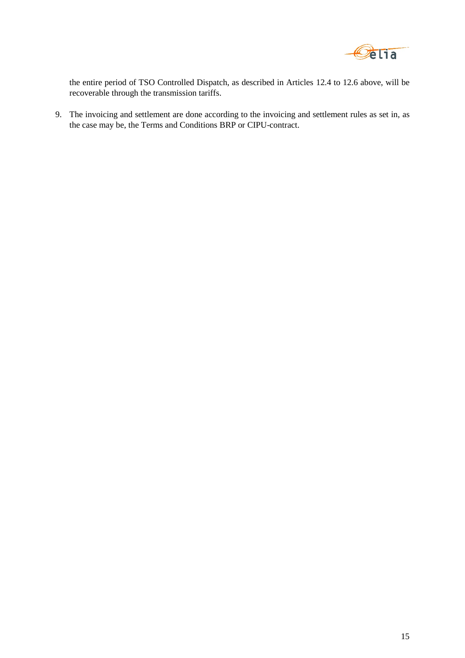

the entire period of TSO Controlled Dispatch, as described in Articles 12.4 to 12.6 above, will be recoverable through the transmission tariffs.

9. The invoicing and settlement are done according to the invoicing and settlement rules as set in, as the case may be, the Terms and Conditions BRP or CIPU-contract.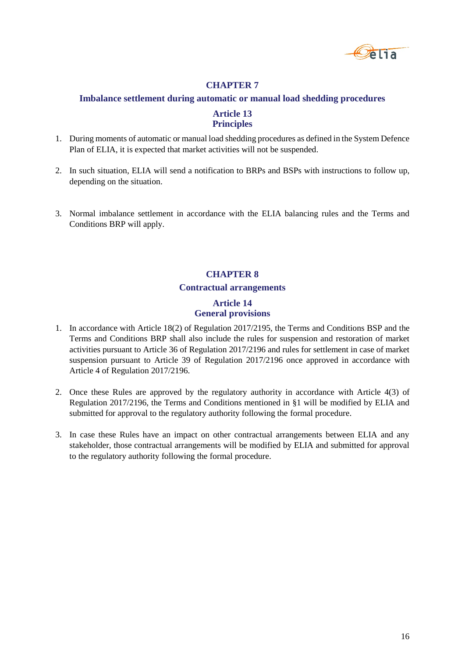

#### <span id="page-15-0"></span>**Imbalance settlement during automatic or manual load shedding procedures**

# **Article 13 Principles**

- <span id="page-15-1"></span>1. During moments of automatic or manual load shedding procedures as defined in the System Defence Plan of ELIA, it is expected that market activities will not be suspended.
- 2. In such situation, ELIA will send a notification to BRPs and BSPs with instructions to follow up, depending on the situation.
- <span id="page-15-2"></span>3. Normal imbalance settlement in accordance with the ELIA balancing rules and the Terms and Conditions BRP will apply.

# **CHAPTER 8**

#### **Contractual arrangements**

# **Article 14 General provisions**

- <span id="page-15-3"></span>1. In accordance with Article 18(2) of Regulation 2017/2195, the Terms and Conditions BSP and the Terms and Conditions BRP shall also include the rules for suspension and restoration of market activities pursuant to Article 36 of Regulation 2017/2196 and rules for settlement in case of market suspension pursuant to Article 39 of Regulation 2017/2196 once approved in accordance with Article 4 of Regulation 2017/2196.
- 2. Once these Rules are approved by the regulatory authority in accordance with Article 4(3) of Regulation 2017/2196, the Terms and Conditions mentioned in §1 will be modified by ELIA and submitted for approval to the regulatory authority following the formal procedure.
- 3. In case these Rules have an impact on other contractual arrangements between ELIA and any stakeholder, those contractual arrangements will be modified by ELIA and submitted for approval to the regulatory authority following the formal procedure.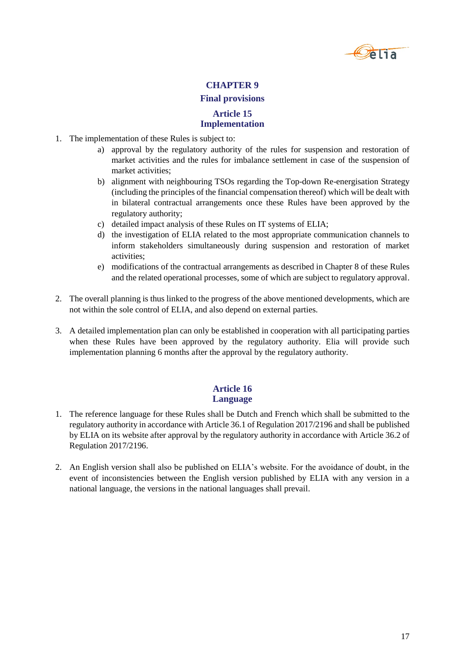

#### **Final provisions**

# **Article 15 Implementation**

- <span id="page-16-1"></span><span id="page-16-0"></span>1. The implementation of these Rules is subject to:
	- a) approval by the regulatory authority of the rules for suspension and restoration of market activities and the rules for imbalance settlement in case of the suspension of market activities;
	- b) alignment with neighbouring TSOs regarding the Top-down Re-energisation Strategy (including the principles of the financial compensation thereof) which will be dealt with in bilateral contractual arrangements once these Rules have been approved by the regulatory authority;
	- c) detailed impact analysis of these Rules on IT systems of ELIA;
	- d) the investigation of ELIA related to the most appropriate communication channels to inform stakeholders simultaneously during suspension and restoration of market activities;
	- e) modifications of the contractual arrangements as described in Chapter 8 of these Rules and the related operational processes, some of which are subject to regulatory approval.
- 2. The overall planning is thus linked to the progress of the above mentioned developments, which are not within the sole control of ELIA, and also depend on external parties.
- 3. A detailed implementation plan can only be established in cooperation with all participating parties when these Rules have been approved by the regulatory authority. Elia will provide such implementation planning 6 months after the approval by the regulatory authority.

# **Article 16 Language**

- <span id="page-16-2"></span>1. The reference language for these Rules shall be Dutch and French which shall be submitted to the regulatory authority in accordance with Article 36.1 of Regulation 2017/2196 and shall be published by ELIA on its website after approval by the regulatory authority in accordance with Article 36.2 of Regulation 2017/2196.
- 2. An English version shall also be published on ELIA's website. For the avoidance of doubt, in the event of inconsistencies between the English version published by ELIA with any version in a national language, the versions in the national languages shall prevail.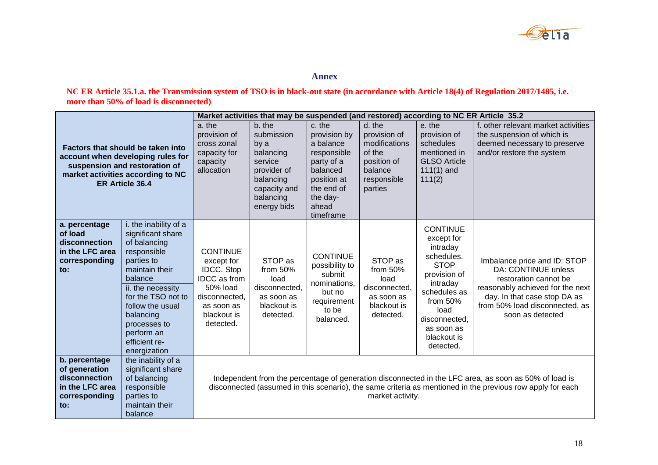

**Annex**

**NC ER Article 35.1.a. the Transmission system of TSO is in black-out state (in accordance with Article 18(4) of Regulation 2017/1485, i.e. more than 50% of load is disconnected)**

<span id="page-17-0"></span>

|                                                                                                                                                                 |                                                                                                                                                                                                                                                                 | Market activities that may be suspended (and restored) according to NC ER Article 35.2                                                    |                                                                                                                              |                                                                                                                                             |                                                                                                       |                                                                                                                                                                                                   |                                                                                                                                                                                                                     |
|-----------------------------------------------------------------------------------------------------------------------------------------------------------------|-----------------------------------------------------------------------------------------------------------------------------------------------------------------------------------------------------------------------------------------------------------------|-------------------------------------------------------------------------------------------------------------------------------------------|------------------------------------------------------------------------------------------------------------------------------|---------------------------------------------------------------------------------------------------------------------------------------------|-------------------------------------------------------------------------------------------------------|---------------------------------------------------------------------------------------------------------------------------------------------------------------------------------------------------|---------------------------------------------------------------------------------------------------------------------------------------------------------------------------------------------------------------------|
| Factors that should be taken into<br>account when developing rules for<br>suspension and restoration of<br>market activities according to NC<br>ER Article 36.4 |                                                                                                                                                                                                                                                                 | a. the<br>provision of<br>cross zonal<br>capacity for<br>capacity<br>allocation                                                           | b. the<br>submission<br>by a<br>balancing<br>service<br>provider of<br>balancing<br>capacity and<br>balancing<br>energy bids | c. the<br>provision by<br>a balance<br>responsible<br>party of a<br>balanced<br>position at<br>the end of<br>the day-<br>ahead<br>timeframe | d. the<br>provision of<br>modifications<br>of the<br>position of<br>balance<br>responsible<br>parties | e. the<br>provision of<br>schedules<br>mentioned in<br><b>GLSO Article</b><br>$111(1)$ and<br>111(2)                                                                                              | f. other relevant market activities<br>the suspension of which is<br>deemed necessary to preserve<br>and/or restore the system                                                                                      |
| a. percentage<br>of load<br>disconnection<br>in the LFC area<br>corresponding<br>to:                                                                            | i. the inability of a<br>significant share<br>of balancing<br>responsible<br>parties to<br>maintain their<br>balance<br>ii. the necessity<br>for the TSO not to<br>follow the usual<br>balancing<br>processes to<br>perform an<br>efficient re-<br>energization | <b>CONTINUE</b><br>except for<br><b>IDCC.</b> Stop<br>IDCC as from<br>50% load<br>disconnected,<br>as soon as<br>blackout is<br>detected. | STOP as<br>from 50%<br>load<br>disconnected.<br>as soon as<br>blackout is<br>detected.                                       | <b>CONTINUE</b><br>possibility to<br>submit<br>nominations,<br>but no<br>requirement<br>to be<br>balanced.                                  | STOP as<br>from $50%$<br>load<br>disconnected,<br>as soon as<br>blackout is<br>detected.              | <b>CONTINUE</b><br>except for<br>intraday<br>schedules.<br><b>STOP</b><br>provision of<br>intraday<br>schedules as<br>from 50%<br>load<br>disconnected,<br>as soon as<br>blackout is<br>detected. | Imbalance price and ID: STOP<br>DA: CONTINUE unless<br>restoration cannot be<br>reasonably achieved for the next<br>day. In that case stop DA as<br>from 50% load disconnected, as<br>soon as detected              |
| b. percentage<br>of generation<br>disconnection<br>in the LFC area<br>corresponding<br>to:                                                                      | the inability of a<br>significant share<br>of balancing<br>responsible<br>parties to<br>maintain their<br>balance                                                                                                                                               |                                                                                                                                           |                                                                                                                              |                                                                                                                                             | market activity.                                                                                      |                                                                                                                                                                                                   | Independent from the percentage of generation disconnected in the LFC area, as soon as 50% of load is<br>disconnected (assumed in this scenario), the same criteria as mentioned in the previous row apply for each |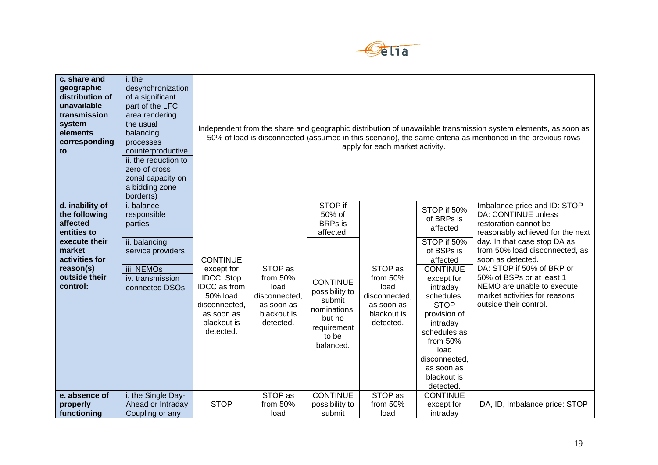

| c. share and<br>geographic<br>distribution of<br>unavailable<br>transmission<br>system<br>elements<br>corresponding<br>to                          | i. the<br>desynchronization<br>of a significant<br>part of the LFC<br>area rendering<br>the usual<br>balancing<br>processes<br>counterproductive<br>ii. the reduction to<br>zero of cross<br>zonal capacity on<br>a bidding zone<br>border(s) | Independent from the share and geographic distribution of unavailable transmission system elements, as soon as<br>50% of load is disconnected (assumed in this scenario), the same criteria as mentioned in the previous rows<br>apply for each market activity. |                                                                                        |                                                                                                                                                                |                                                                                          |                                                                                                                                                                                                                                                                                       |                                                                                                                                                                                                                                                                                                                                                                   |  |
|----------------------------------------------------------------------------------------------------------------------------------------------------|-----------------------------------------------------------------------------------------------------------------------------------------------------------------------------------------------------------------------------------------------|------------------------------------------------------------------------------------------------------------------------------------------------------------------------------------------------------------------------------------------------------------------|----------------------------------------------------------------------------------------|----------------------------------------------------------------------------------------------------------------------------------------------------------------|------------------------------------------------------------------------------------------|---------------------------------------------------------------------------------------------------------------------------------------------------------------------------------------------------------------------------------------------------------------------------------------|-------------------------------------------------------------------------------------------------------------------------------------------------------------------------------------------------------------------------------------------------------------------------------------------------------------------------------------------------------------------|--|
| d. inability of<br>the following<br>affected<br>entities to<br>execute their<br>market<br>activities for<br>reason(s)<br>outside their<br>control: | i. balance<br>responsible<br>parties<br>ii. balancing<br>service providers<br>iii. NEMOs<br>iv. transmission<br>connected DSOs                                                                                                                | <b>CONTINUE</b><br>except for<br><b>IDCC.</b> Stop<br><b>IDCC</b> as from<br>50% load<br>disconnected,<br>as soon as<br>blackout is<br>detected.                                                                                                                 | STOP as<br>from 50%<br>load<br>disconnected,<br>as soon as<br>blackout is<br>detected. | STOP if<br>50% of<br><b>BRPs</b> is<br>affected.<br><b>CONTINUE</b><br>possibility to<br>submit<br>nominations,<br>but no<br>requirement<br>to be<br>balanced. | STOP as<br>from $50%$<br>load<br>disconnected,<br>as soon as<br>blackout is<br>detected. | STOP if 50%<br>of BRPs is<br>affected<br>STOP if 50%<br>of BSPs is<br>affected<br><b>CONTINUE</b><br>except for<br>intraday<br>schedules.<br><b>STOP</b><br>provision of<br>intraday<br>schedules as<br>from $50%$<br>load<br>disconnected,<br>as soon as<br>blackout is<br>detected. | Imbalance price and ID: STOP<br><b>DA: CONTINUE unless</b><br>restoration cannot be<br>reasonably achieved for the next<br>day. In that case stop DA as<br>from 50% load disconnected, as<br>soon as detected.<br>DA: STOP if 50% of BRP or<br>50% of BSPs or at least 1<br>NEMO are unable to execute<br>market activities for reasons<br>outside their control. |  |
| e. absence of<br>properly<br>functioning                                                                                                           | i. the Single Day-<br>Ahead or Intraday<br>Coupling or any                                                                                                                                                                                    | <b>STOP</b>                                                                                                                                                                                                                                                      | STOP as<br>from 50%<br>load                                                            | <b>CONTINUE</b><br>possibility to<br>submit                                                                                                                    | STOP as<br>from 50%<br>load                                                              | <b>CONTINUE</b><br>except for<br>intraday                                                                                                                                                                                                                                             | DA, ID, Imbalance price: STOP                                                                                                                                                                                                                                                                                                                                     |  |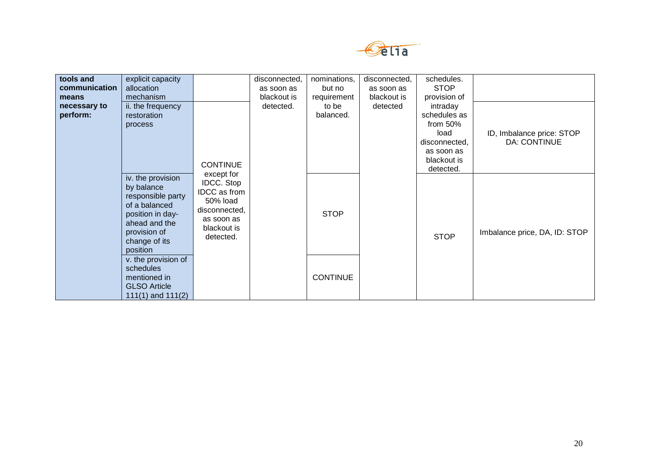

| tools and     | explicit capacity                                                                                                                                       |                                                                                                                        | disconnected, | nominations,    | disconnected, | schedules.    |                               |
|---------------|---------------------------------------------------------------------------------------------------------------------------------------------------------|------------------------------------------------------------------------------------------------------------------------|---------------|-----------------|---------------|---------------|-------------------------------|
| communication | allocation                                                                                                                                              |                                                                                                                        | as soon as    | but no          | as soon as    | <b>STOP</b>   |                               |
| means         | mechanism                                                                                                                                               |                                                                                                                        | blackout is   | requirement     | blackout is   | provision of  |                               |
| necessary to  | ii. the frequency                                                                                                                                       |                                                                                                                        | detected.     | to be           | detected      | intraday      |                               |
| perform:      | restoration                                                                                                                                             |                                                                                                                        |               | balanced.       |               | schedules as  |                               |
|               | process                                                                                                                                                 |                                                                                                                        |               |                 |               | from $50\%$   |                               |
|               |                                                                                                                                                         |                                                                                                                        |               |                 |               | load          | ID, Imbalance price: STOP     |
|               |                                                                                                                                                         |                                                                                                                        |               |                 |               | disconnected, | DA: CONTINUE                  |
|               |                                                                                                                                                         |                                                                                                                        |               |                 |               | as soon as    |                               |
|               |                                                                                                                                                         | <b>CONTINUE</b>                                                                                                        |               |                 |               | blackout is   |                               |
|               |                                                                                                                                                         |                                                                                                                        |               |                 |               | detected.     |                               |
|               | iv. the provision<br>by balance<br>responsible party<br>of a balanced<br>position in day-<br>ahead and the<br>provision of<br>change of its<br>position | except for<br><b>IDCC.</b> Stop<br>IDCC as from<br>50% load<br>disconnected,<br>as soon as<br>blackout is<br>detected. |               | <b>STOP</b>     |               | <b>STOP</b>   | Imbalance price, DA, ID: STOP |
|               | v. the provision of<br>schedules<br>mentioned in<br><b>GLSO Article</b><br>$111(1)$ and $111(2)$                                                        |                                                                                                                        |               | <b>CONTINUE</b> |               |               |                               |